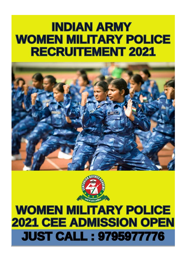### **INDIAN ARMY WOMEN MILITARY POLICE RECRUITEMENT 2021**





## **WOMEN MILITARY POLICE 2021 CEE ADMISSION OPEN JUST CALL: 9795977776**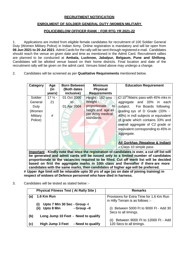#### **RECRUITMENT NOTIFICATION**

#### **ENROLMENT OF SOLDIER GENERAL DUTY (WOMEN MILITARY**

#### **POLICE)BELOW OFFICER RANK : FOR RTG YR 2021-22**

1. Applications are invited from eligible female candidates for recruitment of 100 Soldier General Duty (Women Military Police) in Indian Army. Online registration is mandatory and will be open from **06 Jun 2021 to 20 Jul 2021**. Admit Cards for the rally will be sent through registered e-mail. Candidates should reach the venue on given date and time as mentioned in the Admit Card. Recruitment rallies are planned to be conducted at **Ambala, Lucknow, Jabalpur, Belgaum, Pune and Shillong**. Candidates will be allotted venue based on their home districts. Final location and date of the recruitment rally will be given on the admit card. Venues listed above may undergo a change.

2. Candidates will be screened as per **Qualitative Requirements** mentioned below.

| Category                                                    | Age<br>(in<br>years) | <b>Born Between</b><br>(Both dates<br>inclusive) | <b>Minimum</b><br><b>Physical</b><br><b>Requirements</b>                                                                 | <b>Education Requirement</b>                                                                                                                                                                                                                                                                                                                                                     |
|-------------------------------------------------------------|----------------------|--------------------------------------------------|--------------------------------------------------------------------------------------------------------------------------|----------------------------------------------------------------------------------------------------------------------------------------------------------------------------------------------------------------------------------------------------------------------------------------------------------------------------------------------------------------------------------|
| Soldier<br>General<br>Duty<br>(Women<br>Military<br>Police) | $172$ -<br>21<br>#   | 01 Oct 2000<br>to<br>01 Apr 2004                 | Height - 152 cms<br>Weight -<br>proportionate<br>to<br>height and age as<br>per Army medical<br>standards.<br><b>ETT</b> | CI 10 <sup>th</sup> /Matric pass with 45% mks in<br>aggregate and 33% in each<br>subject. For Boards following<br>grading sys of D Grade (33% -<br>40%) in indl subjects or equivalent<br>of grade which contains 33% and<br>overall aggregate of C2 grade or<br>equivalent corresponding to 45% in<br>aggregate.<br>All Gorkhas (Nepalese & Indian)<br>$-$ Class 10 simple pass |

**Important - Kindly note that once the registration of candidates is over, a cut off list will be generated and admit cards will be issued only to a limited number of candidates proportionate to the vacancies required to be filled. Cut off merit list will be decided based on first the aggregate marks in 10th class and thereafter if there are more candidates with the same marks, then candidates of higher age will be preferred.**

**# Upper Age limit will be relaxable upto 30 yrs of age (as on date of joining training) in respect of widows of Defence personnel who have died in harness.**

3. Candidates will be tested as stated below :-

|     | <b>Physical Fitness Test (At Rally Site)</b> | <b>Remarks</b>                                              |
|-----|----------------------------------------------|-------------------------------------------------------------|
| (a) | 1.6 Km Run                                   | Provisions for Extra Time for 1.6 Km Run                    |
|     |                                              | in Hilly Terrain is as follows :-                           |
|     | Upto 7 Min 30 Sec - Group -I<br>(i)          |                                                             |
|     | - Group -II<br>Upto 8 Min<br>(ii)            | Between 5000 Ft to 9000 Ft - Add 30<br>Secs to all timings. |
| (b) | Long Jump 10 Feet - Need to qualify          |                                                             |
|     |                                              | Between 9000 Ft to 12000 Ft - Add<br>(ii)                   |
| (c) | <b>High Jump 3 Feet</b><br>- Need to qualify | 120 Secs to all timings.                                    |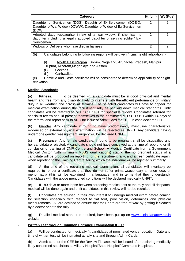| Category                                                                                  | $Ht$ (cm)     | Wt (Kgs) |  |  |  |
|-------------------------------------------------------------------------------------------|---------------|----------|--|--|--|
| Daughter of Servicemen (DOS), Daughtr of Ex-Servicemen (DOEX),                            | $\mathcal{P}$ | 2        |  |  |  |
| Daughter of War Widow (DOWW), Daughter of Widow of Ex-Servicemen                          |               |          |  |  |  |
| (DOW)<br>$\mathcal{P}$<br>2                                                               |               |          |  |  |  |
| Adopted daughter/daughter-in-law of a war widow, if she has no                            |               |          |  |  |  |
| daughter including a legally adopted daughter of serving soldier/ Ex-                     |               |          |  |  |  |
| Servicemen                                                                                |               |          |  |  |  |
| Widows of Def pers who have died in harness                                               | 2             | 2        |  |  |  |
| (b)<br>Candidates belonging to following regions will be given 4 cms height relaxation :- |               |          |  |  |  |
| <b>North East Region.</b> Sikkim, Nagaland, Arunachal Pradesh, Manipur,<br>(i)            |               |          |  |  |  |
| Trupura, Mizoram, Meghalaya and Assam.                                                    |               |          |  |  |  |
| Gorkhas.<br>(ii)                                                                          |               |          |  |  |  |
| Garhwalies.<br>(iii)                                                                      |               |          |  |  |  |
| Domicile and Caste certificate will be considered to determine applicability of height    |               |          |  |  |  |
| relaxation.                                                                               |               |          |  |  |  |

#### 4. **Medical Standards**.

(a) **Fitness**. To be deemed Fit, a candidate must be in good physical and mental health and free from any disability likely to interfere with the efficient performance of military duty in all weather and across all terrains. The selected candidates will have to appear for medical examination during the recruitment rally as per laid down medical standards. Unfit candidates will be referred to MH / CH / BH for specialist review. Candidates referred for specialist review should present themselves to the nominated MH / CH / BH within 14 days of the referral and report back to ARO for issue of Admit Card for CEE, in case declared FIT.

(b) **Gender**. Any candidate if found to have predominantly masculine characteristics evidenced on external physical examination, will be rejected as UNFIT. Any candidate having undergone gender reassignment surgery will be declared UNFIT .

(c) **Pregnancy**. Any female candidate, if found to be pregnant shall be disqualified and her candidature rejected. A candidate should not have conceived at the time of reporting or till conclusion of training at CMP Centre and School. A Medical Certificate from a Government Medical Doctor (with minimum MBBS qualifications) stating the no pregnant status of a candidate will be produced on reporting for the recruitment rally, and a fresh certificate again, when reporting to the Training Centre, failing which the individual will be rejected summarily.

(d) At the time of the recruiting medical examination, all candidates will invariably be required to render a certificate that they do not suffer primary/secondary amenorrhoea, or menorrhagia (this will be explained in a language, and in terms that they understand). Candidates with the above mentioned conditions will be declared medically UNFIT.

(e) If 180 days or more lapse between screening medical test at the rally and till despatch, medical will be done again and unfit candidates in this review will not be recruited.

(f) Candidates are advised in their own interest to undergo medical exam before coming for selection especially with respect to flat foot, poor vision, deformities and physical measurements. All are advised to ensure that their ears are free of wax by getting it cleaned by a doctor prior to the rally.

(g) Detailed medical standards required, have been put up on [www.joinindianarmy.nic.in](http://www.joinindianarmy.nic.in/) website.

#### 5. **Written Test through Common Entrance Examination (CEE)**.

(a) Will be conducted for medically fit candidates at nominated venue. Location, Date and time of written test will be intimated at rally site and through Admit Cards.

(b) Admit card for the CEE for the Review Fit cases will be issued after declaring medically fit by concerned specialists at Military Hospital/Base Hospital/ Command Hospitals.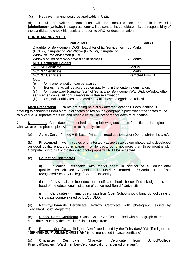(c) Negative marking would be applicable in CEE.

(d) Result of written examination will be declared on the official website **joinindianarmy.nic.in.** No separate letter will be sent to the candidate. It is the responsibility of the candidate to check his result and report to ARO for documentation.

#### **BONUS MARKS IN CEE**

| <b>Particulars</b>                                                                  | <b>Marks</b>             |
|-------------------------------------------------------------------------------------|--------------------------|
| Daughter of Servicemen (DOS), Daughter of Ex-Servicemen                             | 20 Marks                 |
| (DOEX), Daughter of War Widow (DOWW), Daughter of                                   |                          |
| Widow of Ex-Servicemen (DOW).                                                       |                          |
| Widows of Def pers who have died in harness.                                        | 20 Marks                 |
| <b>NCC Certificate Holders</b>                                                      |                          |
| NCC 'A' Certificate                                                                 | 5 Marks                  |
| NCC 'B' Certificate                                                                 | 10 Marks                 |
| NCC 'C' Certificate                                                                 | <b>Exempted from CEE</b> |
| Note $:$                                                                            |                          |
| Only one relaxation can be availed.<br>(i)                                          |                          |
| Denue merke will be essereded an quelifuge in the written examination<br>$\sqrt{2}$ |                          |

(ii) Bonus marks will be accorded on qualifying in the written examination.

(iii) Only one ward (daughter/son) of Service/Ex-Servicemen/War Widow/Widow ofExservicemen can avail bonus marks in written examination.

(iv) Original Certificates to be carried by all above categories at rally site.

6. **Merit Preparation**. Rallies are being held at six different locations. Each location is catering to candidates from a group of States based on the geographic proximity of the States to the rally venue. A separate merit list and reserve list will be prepared for each rally location.

7. **Documents**. Candidates are required to bring following documents / certificates in original with two attested photocopies with them to the rally site:-

(a) **Admit Card**. Printed with Laser Printer on good quality paper (Do not shrink the size).

(b) **Photograph**. Twenty copies of unattested Passport size colour photographs developed on good quality photographic paper in white background not more than three months old. Computer printouts / photoshopped photographs will **NOT be** accepted.

#### (c) **Education Certificates**.

Education Certificates with marks sheet in original of all educational qualifications achieved by candidate i.e. Matric / Intermediate / Graduation etc from recognised School / College / Board / University.

(ii) Provisional / online education certificate should be certified ink signed by the head of the educational institution of concerned Board / University.

(iii) Candidates with matric certificate from Open School should bring School Leaving Certificate countersigned by BEO / DEO.

(d) **Nativity/Domicile Certificate**. Nativity Certificate with photograph issued by Tehsildar/District Magistrate.

(e) **Class/ Caste Certificate**. Class/ Caste Certificate affixed with photograph of the candidate issued by the Tehsildar/District Magistrate.

**Religion Certificate**. Religion Certificate issued by the Tehsildar/SDM. (if religion as **"SIKH/HINDU/MUSLIM/ CHRISTIAN"** is not mentioned in caste certificate).

(g) **Character Certificate**. Character Certificate from School/College Principal/Sarpanch/Ward member(Certificate valid for a period one year).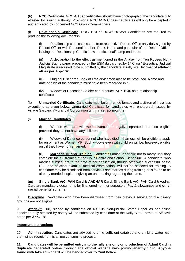(h) **NCC Certificate**. NCC A/ B/ C certificates should have photograph of the candidate duly attested by issuing authority. Provisional NCC A/ B/ C pass certificates will only be accepted if authenticated by concerned NCC Group Commanders.

(i) **Relationship Certificate**. DOS/ DOEX/ DOW/ DOWW Candidates are required to produce the following documents:-

(i) Relationship certificate issued from respective Record Office only duly signed by Record Officer with Personal number, Rank, Name and particular of the Record Officer issuing the Relationship Certificate with office seal/stamp endorsed.

**(ii)** A declaration to the effect as mentioned in the Affidavit on Ten Rupees Non-Judicial Stamp paper prepared by the ESM duly signed by 1<sup>st</sup> Class/ Executive/ Judicial Magistrate is required to be submitted by the candidate at rally site. **Format of affidavit att as per Appx "A".**

(iii) Original Discharge Book of Ex-Serviceman also to be produced. Name and date of birth of the candidate must have been recorded in it.

(iv) Widows of Deceased Soldier can produce IAFY-1940 as a relationship certificate.

(k) **Unmarried Certificate**. Candidate must be unmarried female and a citizen of India less exceptions as given below. Unmarried Certificate for candidates with photograph issued by Village Sarpanch/Municipal Corporation **within last six months**.

#### (l) **Married Candidates**.

(i) Women who are widowed, divorced or legally separated are also eligible provided they do not have any children.

Widows of Defence personnel who have died in harness will be eligible to apply for enrolment as Women MP. Such widows even with children will be, however, eligible only if they have not remarried.

(iii) **Marriage During Training**. Candidates must undertake not to marry until they complete the full training at the CMP Centre and School, Bengaluru. A candidate, who marries subsequent to the date of her application, though otherwise successful at the CEE and physical exam or medical examination, will not be selected for training. A candidate may be dismissed from service if she marries during training or is found to be already married inspite of giving an undertaking regarding the same.

(m) **Single Bank A/C, PAN Card & AADHAR Card**. Single Bank A/C, PAN Card & Aadhar Card are mandatory documents for final enrolment for purpose of Pay & allowances and **other social benefits scheme**.

8. **Discipline**. Candidates who have been dismissed from their previous service on disciplinary grounds are not eligible.

9. **Affidavit**. Duly signed by candidate on Rs 10/- Non-judicial Stamp Paper as per online specimen duly attested by notary will be submitted by candidate at the Rally Site. Format of Affidavit att as per **Appx "B"**.

#### **Important Instructions**

10. **Administration**. Candidates are advised to bring sufficient eatables and drinking water with them since recruitment is a time consuming process.

**11. Candidates will be permitted entry into the rally site only on production of Admit Card in duplicate generated online through the official website [www.joinindianarmy.nic.in.](http://www.joinindianarmy.nic.in/) Anyone found with fake admit card will be handed over to Civil Police.**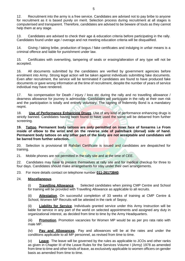12. Recruitment into the army is a free service. Candidates are advised not to pay bribe to anyone for recruitment as it is based purely on merit. Selection process during recruitment at all stages is computerised and transparent. Therefore, candidates are advised to be beware of touts as they cannot help them at any stage.

13. Candidates are advised to check their age & education criteria before participating in the rally. Candidates found under age / overage and not meeting education criteria will be disqualified.

14. Giving / taking bribe, production of bogus / fake certificates and indulging in unfair means is a criminal offence and liable for punishment under law.

15. Certificates with overwriting, tampering of seals or erasing/alteration of any type will not be accepted.

16. All documents submitted by the candidates are verified by government agencies before enrolment into Army. Strong legal action will be taken against individuals submitting fake documents. Even after recruitment, the service will be terminated if candidates are found to have produced fake documents or gave wrong information at the time of recruitment, despite the number of years of service individual may have rendered.

17. No compensation for Death / injury / loss etc during the rally and no travelling allowance / dearness allowance for journey is admissible. Candidates will participate in the rally at their own risk and the participation is totally and entirely voluntary. The signing of Indemnity Bond is a mandatory reqmt.

18. **Use of Performance Enhancing Drugs**. Use of any kind of performance enhancing drugs is strictly banned. Candidates having been found to have used the same will be debarred from further screening.

**19. Tattoo. Permanent body tattoos are only permitted on inner face of forearms i.e From inside of elbow to the wrist and on the reverse side of palm/back (dorsal) side of hand. Permanent body tattoos on any other part of the body are not acceptable and candidates will be barred from further selection.**

20. Selection is provisional till Rahdari Certificate is issued and candidates are despatched for training.

21. Mobile phones are not permitted in the rally site and at the time of CEE.

22. Candidates may have to present themselves at rally site and for medical checkup for three to four days. Candidates should make arrangements for stay under their own arrangements.

23. For more details contact on telephone number **011-26173840**.

#### 24. **Miscellaneous**.

(i) **Travelling Allowance**. Selected candidates when joining CMP Centre and School for training will be provided with Travelling Allowance as applicable to all recruits.

(ii) **Attestation**. On successful completion of 33 weeks of training at CMP Centre & School, Women MP Recruits will be attested in the rank of Sepoy.

**Liability for Service**. Individuals granted service under this Army Instruction will be liable for service in any part of the world on selected appointments and assigned any duty in organizational interest, as decided from time to time by the Army Headquarters.

(iii) **Promotion**. Promotion vacancies for Women MP would be as per pro rata ratio with male MP.

(iv) **Pay and Allowances**. Pay and allowances will be at the rates and under the conditions applicable to all MP personnel, as revised from time to time.

(v) **Leave**. The leave will be governed by the rules as applicable to JCOs and other ranks as given in Chapter III of the Leave Rules for the Services Volume I (Army) 1978 as amended from time to time and other kinds of leave, as exclusively applicable to women officers on gender basis as amended from time to time.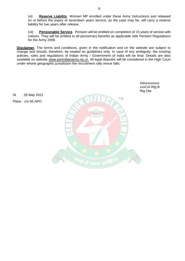(vi) **Reserve Liability**. Women MP enrolled under these Army Instructions and released on or before the expiry of seventeen years service, as the case may be, will carry a reserve liability for two years after release.

6

(vii) **Pensionable Service**. Pension will be entitled on completion of 15 years of service with colours. They will be entitled to all pensionary benefits as applicable vide Pension Regulations for the Army 2008.

**Disclaimer.** The terms and conditions, given in the notification and on the website are subject to change and should, therefore, be treated as guidelines only. In case of any ambiguity, the existing policies, rules and regulations of Indian Army / Government of India will be final. Details are also available on website [www.joinindianarmy.nic.in.](http://www.joinindianarmy.nic.in/) All legal disputes will be considered in the High Court under whose geographic jurisdiction the recruitment rally venue falls.

Dt : 28 May 2021

Place : c/o 56 APO

**Sdxxxxxxxx** xxxCol Rtg B Rtg Dte